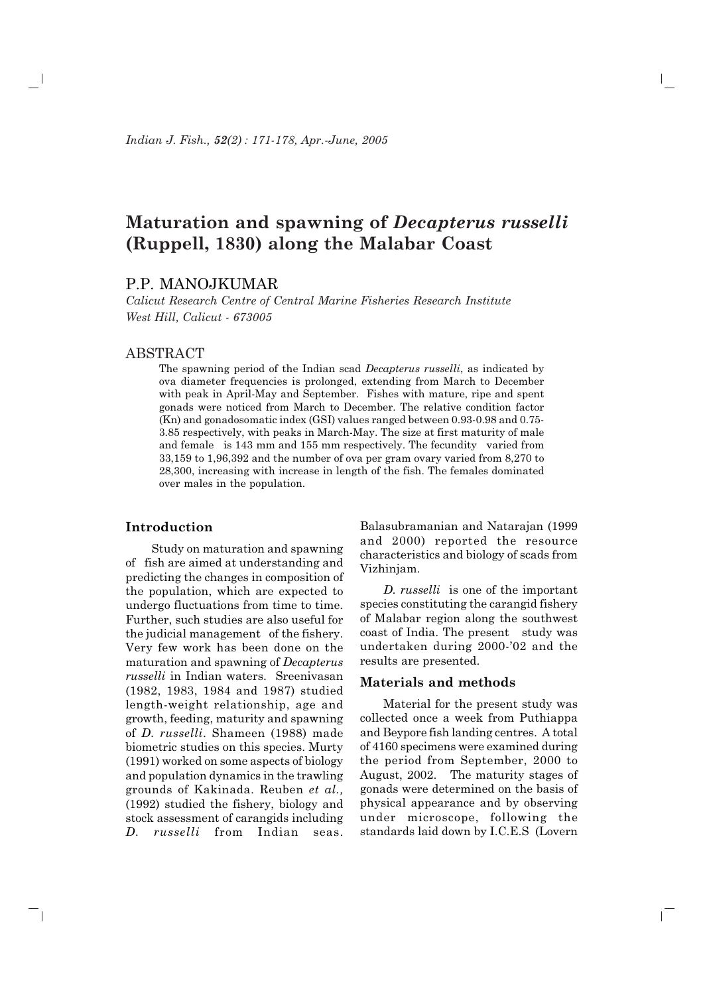# Maturation and spawning of *Decapterus russelli* (Ruppell, 1830) along the Malabar Coast

## P.P. MANOJKUMAR

Calicut Research Centre of Central Marine Fisheries Research Institute West Hill, Calicut - 673005

## **ABSTRACT**

The spawning period of the Indian scad *Decapterus russelli*, as indicated by ova diameter frequencies is prolonged, extending from March to December with peak in April-May and September. Fishes with mature, ripe and spent gonads were noticed from March to December. The relative condition factor (Kn) and gonadosomatic index (GSI) values ranged between 0.93-0.98 and 0.75-3.85 respectively, with peaks in March-May. The size at first maturity of male and female is 143 mm and 155 mm respectively. The fecundity varied from 33,159 to 1,96,392 and the number of ova per gram ovary varied from 8,270 to 28,300, increasing with increase in length of the fish. The females dominated over males in the population.

## Introduction

٦,

Study on maturation and spawning of fish are aimed at understanding and predicting the changes in composition of the population, which are expected to undergo fluctuations from time to time. Further, such studies are also useful for the judicial management of the fishery. Very few work has been done on the maturation and spawning of *Decapterus* russelli in Indian waters. Sreenivasan (1982, 1983, 1984 and 1987) studied length-weight relationship, age and growth, feeding, maturity and spawning of D. russelli. Shameen (1988) made biometric studies on this species. Murty (1991) worked on some aspects of biology and population dynamics in the trawling grounds of Kakinada. Reuben et al., (1992) studied the fishery, biology and stock assessment of carangids including  $\boldsymbol{D}$ russelli from Indian seas.

Balasubramanian and Natarajan (1999 and 2000) reported the resource characteristics and biology of scads from Vizhinjam.

D. russelli is one of the important species constituting the carangid fishery of Malabar region along the southwest coast of India. The present study was undertaken during 2000-'02 and the results are presented.

## **Materials and methods**

Material for the present study was collected once a week from Puthiappa and Beypore fish landing centres. A total of 4160 specimens were examined during the period from September, 2000 to August, 2002. The maturity stages of gonads were determined on the basis of physical appearance and by observing under microscope, following the standards laid down by I.C.E.S (Lovern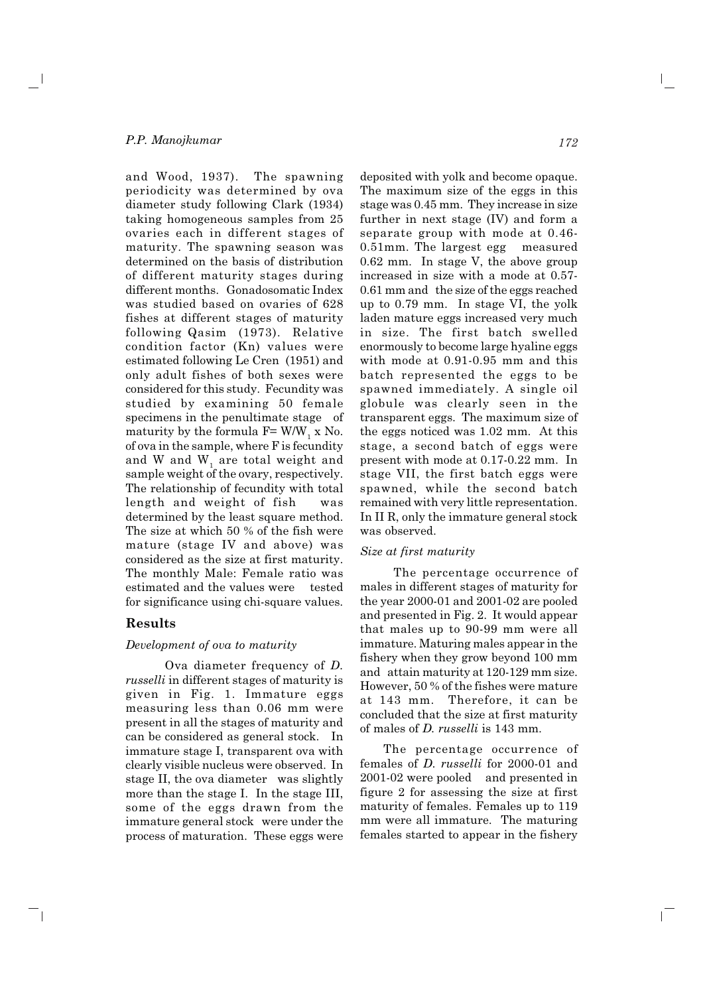## P.P. Manojkumar

and Wood, 1937). The spawning periodicity was determined by ova diameter study following Clark (1934) taking homogeneous samples from 25 ovaries each in different stages of maturity. The spawning season was determined on the basis of distribution of different maturity stages during different months. Gonadosomatic Index was studied based on ovaries of 628 fishes at different stages of maturity following Qasim (1973). Relative condition factor (Kn) values were estimated following Le Cren (1951) and only adult fishes of both sexes were considered for this study. Fecundity was studied by examining 50 female specimens in the penultimate stage of maturity by the formula  $F = W/W$ , x No. of ova in the sample, where F is fecundity and W and W, are total weight and sample weight of the ovary, respectively. The relationship of fecundity with total length and weight of fish was determined by the least square method. The size at which 50 % of the fish were mature (stage IV and above) was considered as the size at first maturity. The monthly Male: Female ratio was estimated and the values were tested for significance using chi-square values.

## Results

 $\overline{\phantom{0}}$ 

## Development of ova to maturity

Ova diameter frequency of D. *russelli* in different stages of maturity is given in Fig. 1. Immature eggs measuring less than 0.06 mm were present in all the stages of maturity and can be considered as general stock. In immature stage I, transparent ova with clearly visible nucleus were observed. In stage II, the ova diameter was slightly more than the stage I. In the stage III, some of the eggs drawn from the immature general stock were under the process of maturation. These eggs were

deposited with yolk and become opaque. The maximum size of the eggs in this stage was 0.45 mm. They increase in size further in next stage (IV) and form a separate group with mode at 0.46-0.51mm. The largest egg measured  $0.62$  mm. In stage V, the above group increased in size with a mode at 0.57-0.61 mm and the size of the eggs reached up to 0.79 mm. In stage VI, the yolk laden mature eggs increased very much in size. The first batch swelled enormously to become large hyaline eggs with mode at 0.91-0.95 mm and this batch represented the eggs to be spawned immediately. A single oil globule was clearly seen in the transparent eggs. The maximum size of the eggs noticed was 1.02 mm. At this stage, a second batch of eggs were present with mode at 0.17-0.22 mm. In stage VII, the first batch eggs were spawned, while the second batch remained with very little representation. In II R, only the immature general stock was observed.

## Size at first maturity

The percentage occurrence of males in different stages of maturity for the year 2000-01 and 2001-02 are pooled and presented in Fig. 2. It would appear that males up to 90-99 mm were all immature. Maturing males appear in the fishery when they grow beyond 100 mm and attain maturity at 120-129 mm size. However, 50% of the fishes were mature at 143 mm. Therefore, it can be concluded that the size at first maturity of males of *D. russelli* is 143 mm.

The percentage occurrence of females of *D. russelli* for 2000-01 and 2001-02 were pooled and presented in figure 2 for assessing the size at first maturity of females. Females up to 119 mm were all immature. The maturing females started to appear in the fishery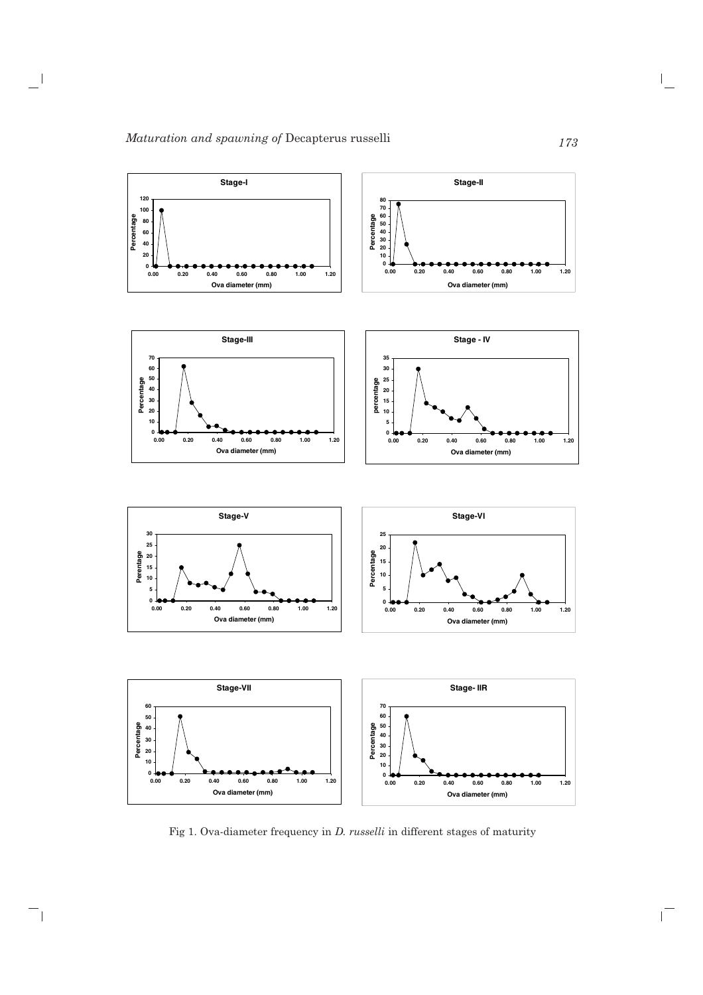$\overline{\phantom{a}}$ 

 $^{-}$ 



Fig 1. Ova-diameter frequency in *D. russelli* in different stages of maturity

 $\mathbb{L}$ 

 $\overline{\mathbb{F}}$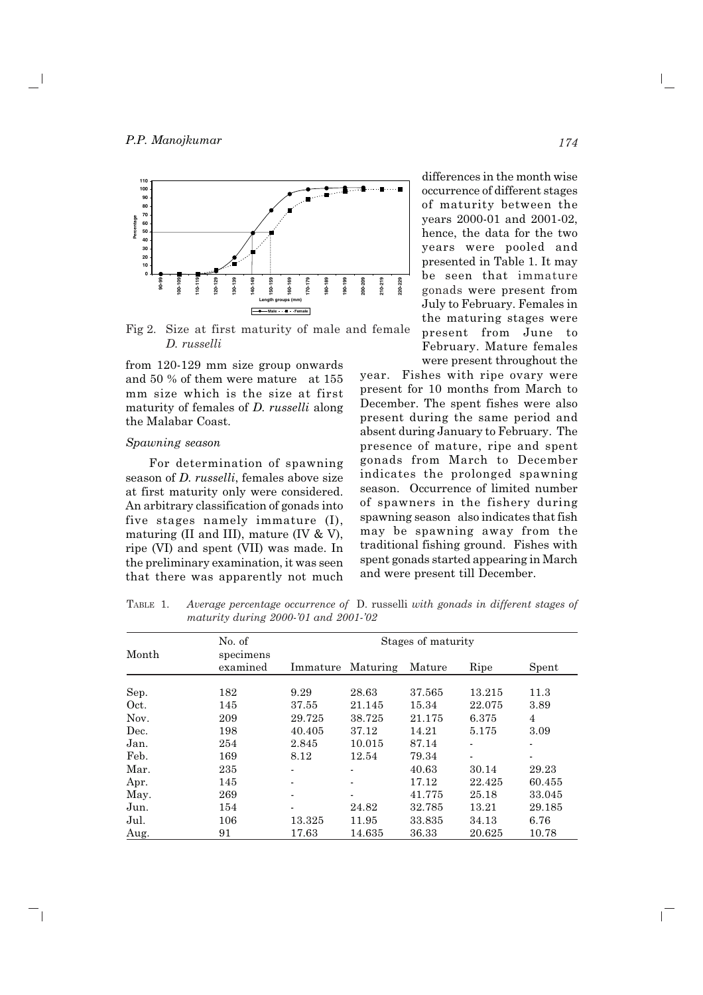

Fig 2. Size at first maturity of male and female D. russelli

from  $120-129$  mm size group onwards and 50 % of them were mature at 155 mm size which is the size at first maturity of females of *D. russelli* along the Malabar Coast.

#### Spawning season

 $\overline{\phantom{0}}$ 

For determination of spawning season of *D. russelli*, females above size at first maturity only were considered. An arbitrary classification of gonads into five stages namely immature (I), maturing (II and III), mature (IV & V), ripe (VI) and spent (VII) was made. In the preliminary examination, it was seen that there was apparently not much differences in the month wise occurrence of different stages of maturity between the years 2000-01 and 2001-02, hence, the data for the two years were pooled and presented in Table 1. It may be seen that immature gonads were present from July to February. Females in the maturing stages were present from June to February. Mature females were present throughout the

year. Fishes with ripe ovary were present for 10 months from March to December. The spent fishes were also present during the same period and absent during January to February. The presence of mature, ripe and spent gonads from March to December indicates the prolonged spawning season. Occurrence of limited number of spawners in the fishery during spawning season also indicates that fish may be spawning away from the traditional fishing ground. Fishes with spent gonads started appearing in March and were present till December.

TABLE 1. Average percentage occurrence of D. russelli with gonads in different stages of maturity during 2000-'01 and 2001-'02

| Month | No. of<br>specimens<br>examined | Stages of maturity |          |        |        |        |
|-------|---------------------------------|--------------------|----------|--------|--------|--------|
|       |                                 | Immature           | Maturing | Mature | Ripe   | Spent  |
|       |                                 |                    |          |        |        |        |
| Sep.  | 182                             | 9.29               | 28.63    | 37.565 | 13.215 | 11.3   |
| Oct.  | 145                             | 37.55              | 21.145   | 15.34  | 22.075 | 3.89   |
| Nov.  | 209                             | 29.725             | 38.725   | 21.175 | 6.375  | 4      |
| Dec.  | 198                             | 40.405             | 37.12    | 14.21  | 5.175  | 3.09   |
| Jan.  | 254                             | 2.845              | 10.015   | 87.14  | -      |        |
| Feb.  | 169                             | 8.12               | 12.54    | 79.34  | ۰      | ٠      |
| Mar.  | 235                             |                    |          | 40.63  | 30.14  | 29.23  |
| Apr.  | 145                             |                    |          | 17.12  | 22.425 | 60.455 |
| May.  | 269                             |                    |          | 41.775 | 25.18  | 33.045 |
| Jun.  | 154                             |                    | 24.82    | 32.785 | 13.21  | 29.185 |
| Jul.  | 106                             | 13.325             | 11.95    | 33.835 | 34.13  | 6.76   |
| Aug.  | 91                              | 17.63              | 14.635   | 36.33  | 20.625 | 10.78  |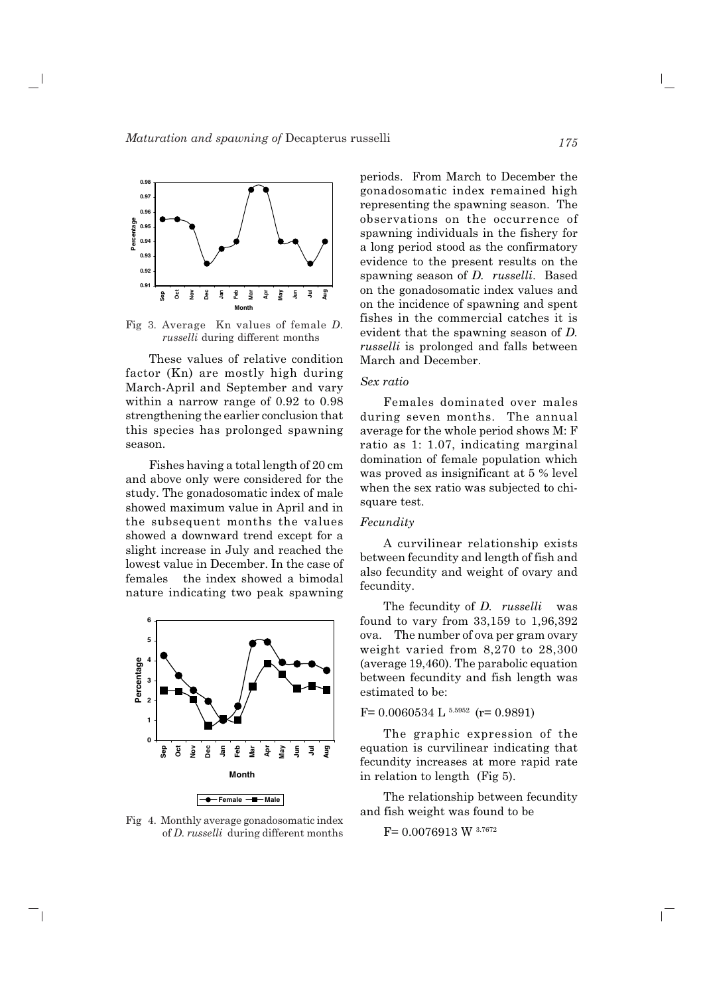

Fig 3. Average Kn values of female D. russelli during different months

These values of relative condition factor (Kn) are mostly high during March-April and September and vary within a narrow range of  $0.92$  to  $0.98$ strengthening the earlier conclusion that this species has prolonged spawning season.

Fishes having a total length of 20 cm and above only were considered for the study. The gonadosomatic index of male showed maximum value in April and in the subsequent months the values showed a downward trend except for a slight increase in July and reached the lowest value in December. In the case of females the index showed a bimodal nature indicating two peak spawning



Fig. 4. Monthly average gonadosomatic index of *D. russelli* during different months

 $\overline{\phantom{0}}$ 

periods. From March to December the gonadosomatic index remained high representing the spawning season. The observations on the occurrence of spawning individuals in the fishery for a long period stood as the confirmatory evidence to the present results on the spawning season of D. russelli. Based on the gonadosomatic index values and on the incidence of spawning and spent fishes in the commercial catches it is evident that the spawning season of  $D$ . *russelli* is prolonged and falls between March and December.

## Sex ratio

Females dominated over males during seven months. The annual average for the whole period shows M: F ratio as 1: 1.07, indicating marginal domination of female population which was proved as insignificant at 5 % level when the sex ratio was subjected to chisquare test.

#### Fecundity

A curvilinear relationship exists between fecundity and length of fish and also fecundity and weight of ovary and fecundity.

The fecundity of *D. russelli* was found to vary from 33,159 to 1,96,392 ova. The number of ova per gram ovary weight varied from 8,270 to 28,300 (average 19,460). The parabolic equation between fecundity and fish length was estimated to be:

 $F= 0.0060534 L^{5.5952}$  (r= 0.9891)

The graphic expression of the equation is curvilinear indicating that fecundity increases at more rapid rate in relation to length (Fig 5).

The relationship between fecundity and fish weight was found to be

 $\mathbb{L}$ 

 $F = 0.0076913$  W 3.7672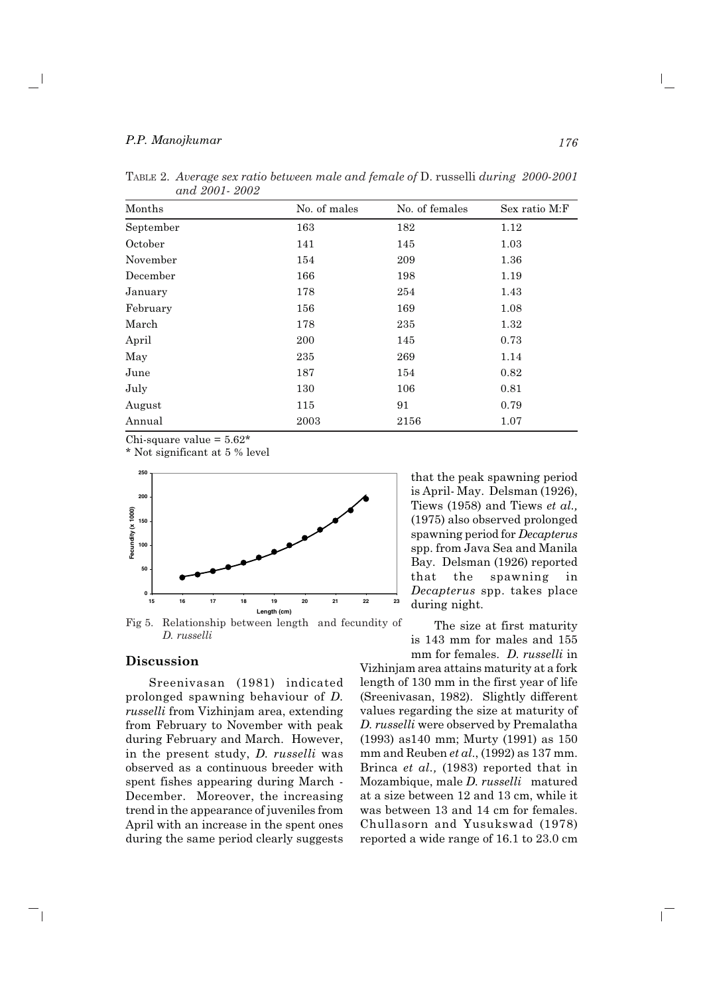### P.P. Manojkumar

| Months    | No. of males | No. of females | Sex ratio M:F |
|-----------|--------------|----------------|---------------|
| September | 163          | 182            | 1.12          |
| October   | 141          | 145            | 1.03          |
| November  | 154          | 209            | 1.36          |
| December  | 166          | 198            | 1.19          |
| January   | 178          | 254            | 1.43          |
| February  | 156          | 169            | 1.08          |
| March     | 178          | 235            | 1.32          |
| April     | 200          | 145            | 0.73          |
| May       | 235          | 269            | 1.14          |
| June      | 187          | 154            | 0.82          |
| July      | 130          | 106            | 0.81          |
| August    | 115          | 91             | 0.79          |
| Annual    | 2003         | 2156           | 1.07          |

TABLE 2. Average sex ratio between male and female of D. russelli during 2000-2001  $and 2001 - 2002$ 

Chi-square value =  $5.62*$ 

\* Not significant at 5 % level



Fig 5. Relationship between length and fecundity of D. russelli

## Discussion

 $\overline{\phantom{0}}$ 

Sreenivasan (1981) indicated prolonged spawning behaviour of D. russelli from Vizhinjam area, extending from February to November with peak during February and March. However, in the present study, D. russelli was observed as a continuous breeder with spent fishes appearing during March -December. Moreover, the increasing trend in the appearance of juveniles from April with an increase in the spent ones during the same period clearly suggests that the peak spawning period is April-May. Delsman (1926), Tiews (1958) and Tiews et al., (1975) also observed prolonged spawning period for *Decapterus* spp. from Java Sea and Manila Bay. Delsman (1926) reported that the spawning in Decapterus spp. takes place during night.

The size at first maturity is 143 mm for males and 155 mm for females. D. russelli in

 $\mathbb{L}$ 

Vizhinjam area attains maturity at a fork length of 130 mm in the first year of life (Sreenivasan, 1982). Slightly different values regarding the size at maturity of D. russelli were observed by Premalatha  $(1993)$  as 140 mm; Murty  $(1991)$  as 150 mm and Reuben et al.,  $(1992)$  as 137 mm. Brinca et al., (1983) reported that in Mozambique, male *D. russelli* matured at a size between 12 and 13 cm, while it was between 13 and 14 cm for females. Chullasorn and Yusukswad (1978) reported a wide range of 16.1 to 23.0 cm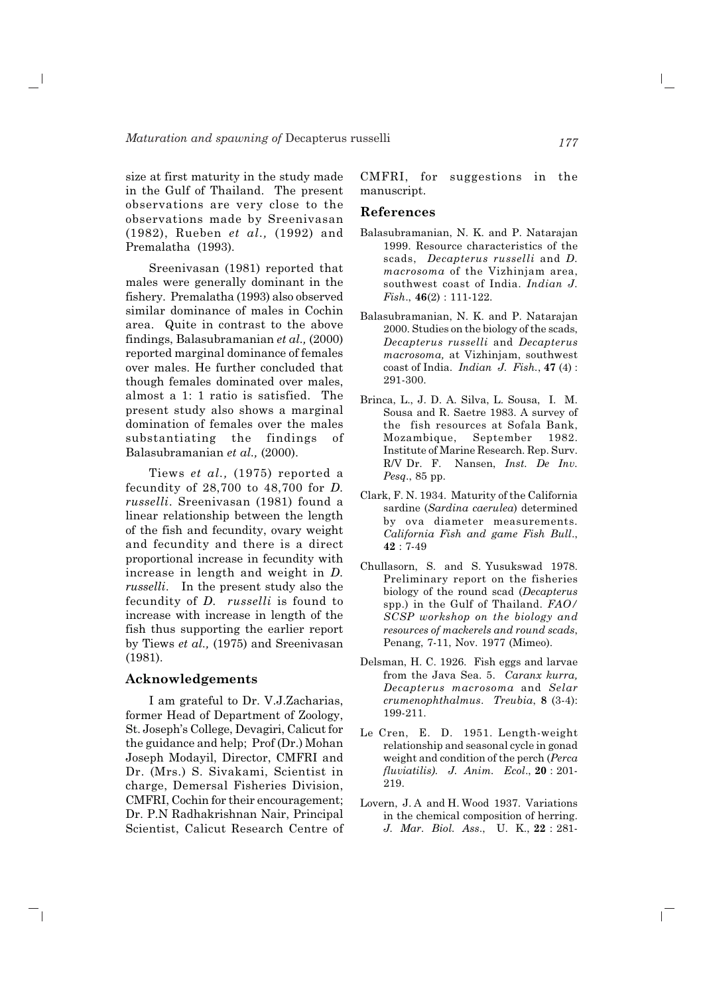size at first maturity in the study made in the Gulf of Thailand. The present observations are very close to the observations made by Sreenivasan (1982), Rueben et al., (1992) and Premalatha (1993).

Sreenivasan (1981) reported that males were generally dominant in the fishery. Premalatha (1993) also observed similar dominance of males in Cochin area. Quite in contrast to the above findings, Balasubramanian et al., (2000) reported marginal dominance of females over males. He further concluded that though females dominated over males, almost a 1: 1 ratio is satisfied. The present study also shows a marginal domination of females over the males substantiating the findings  $\alpha$ f Balasubramanian et al., (2000).

Tiews et al., (1975) reported a fecundity of  $28,700$  to  $48,700$  for  $D$ . russelli. Sreenivasan (1981) found a linear relationship between the length of the fish and fecundity, ovary weight and fecundity and there is a direct proportional increase in fecundity with increase in length and weight in D. *russelli*. In the present study also the fecundity of D. russelli is found to increase with increase in length of the fish thus supporting the earlier report by Tiews et al., (1975) and Sreenivasan  $(1981).$ 

## Acknowledgements

 $\blacksquare$ 

I am grateful to Dr. V.J. Zacharias, former Head of Department of Zoology, St. Joseph's College, Devagiri, Calicut for the guidance and help; Prof (Dr.) Mohan Joseph Modayil, Director, CMFRI and Dr. (Mrs.) S. Sivakami, Scientist in charge, Demersal Fisheries Division, CMFRI, Cochin for their encouragement; Dr. P.N Radhakrishnan Nair, Principal Scientist, Calicut Research Centre of

CMFRI, for suggestions in the manuscript.

## **References**

- Balasubramanian, N. K. and P. Natarajan 1999. Resource characteristics of the scads, Decapterus russelli and D. macrosoma of the Vizhinjam area, southwest coast of India. Indian J.  $Fish., 46(2): 111-122.$
- Balasubramanian, N. K. and P. Natarajan 2000. Studies on the biology of the scads, Decapterus russelli and Decapterus macrosoma, at Vizhinjam, southwest coast of India. Indian J. Fish., 47(4): 291-300.
- Brinca, L., J. D. A. Silva, L. Sousa, I. M. Sousa and R. Saetre 1983. A survey of the fish resources at Sofala Bank. Mozambique. September 1982. Institute of Marine Research. Rep. Surv. R/V Dr. F. Nansen, Inst. De Inv. Pesq., 85 pp.
- Clark, F. N. 1934. Maturity of the California sardine (Sardina caerulea) determined by ova diameter measurements. California Fish and game Fish Bull.,  $42:7-49$
- Chullasorn, S. and S. Yusukswad 1978. Preliminary report on the fisheries biology of the round scad (Decapterus spp.) in the Gulf of Thailand. FAO/ SCSP workshop on the biology and resources of mackerels and round scads, Penang, 7-11, Nov. 1977 (Mimeo).
- Delsman, H. C. 1926. Fish eggs and larvae from the Java Sea. 5. Caranx kurra, Decapterus macrosoma and Selar crumenophthalmus. Treubia, 8 (3-4): 199-211.
- Le Cren, E. D. 1951. Length-weight relationship and seasonal cycle in gonad weight and condition of the perch (Perca fluviatilis). J. Anim. Ecol., 20:201-219.
- Lovern, J. A and H. Wood 1937. Variations in the chemical composition of herring. J. Mar. Biol. Ass., U. K., 22:281-